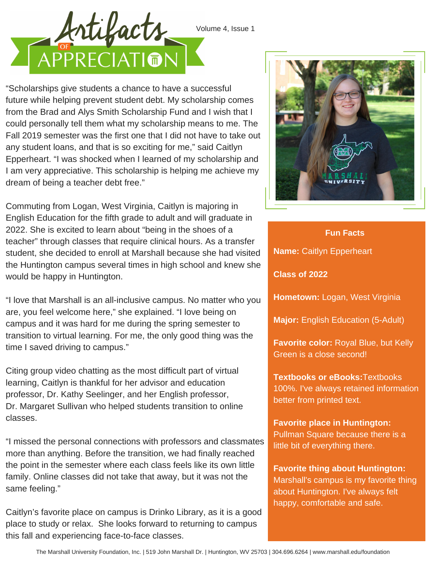



"Scholarships give students a chance to have a successful future while helping prevent student debt. My scholarship comes from the Brad and Alys Smith Scholarship Fund and I wish that I could personally tell them what my scholarship means to me. The Fall 2019 semester was the first one that I did not have to take out any student loans, and that is so exciting for me," said Caitlyn Epperheart. "I was shocked when I learned of my scholarship and I am very appreciative. This scholarship is helping me achieve my dream of being a teacher debt free."

Commuting from Logan, West Virginia, Caitlyn is majoring in English Education for the fifth grade to adult and will graduate in 2022. She is excited to learn about "being in the shoes of a teacher" through classes that require clinical hours. As a transfer student, she decided to enroll at Marshall because she had visited the Huntington campus several times in high school and knew she would be happy in Huntington.

"I love that Marshall is an all-inclusive campus. No matter who you are, you feel welcome here," she explained. "I love being on campus and it was hard for me during the spring semester to transition to virtual learning. For me, the only good thing was the time I saved driving to campus."

Citing group video chatting as the most difficult part of virtual learning, Caitlyn is thankful for her advisor and education professor, Dr. Kathy Seelinger, and her English professor, Dr. Margaret Sullivan who helped students transition to online classes.

"I missed the personal connections with professors and classmates more than anything. Before the transition, we had finally reached the point in the semester where each class feels like its own little family. Online classes did not take that away, but it was not the same feeling."

Caitlyn's favorite place on campus is Drinko Library, as it is a good place to study or relax. She looks forward to returning to campus this fall and experiencing face-to-face classes.



**Name:** Caitlyn Epperheart **Class of 2022 Hometown:** Logan, West Virginia **Fun Facts**

**Major:** English Education (5-Adult)

**Favorite color:** Royal Blue, but Kelly Green is a close second!

**Textbooks or eBooks:**Textbooks 100%. I've always retained information better from printed text.

**Favorite place in Huntington:** Pullman Square because there is a little bit of everything there.

**Favorite thing about Huntington:** Marshall's campus is my favorite thing about Huntington. I've always felt happy, comfortable and safe.